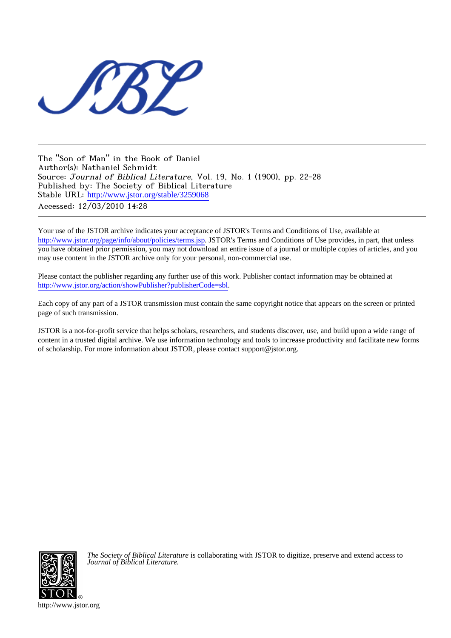

The "Son of Man" in the Book of Daniel Author(s): Nathaniel Schmidt Source: Journal of Biblical Literature, Vol. 19, No. 1 (1900), pp. 22-28 Published by: The Society of Biblical Literature Stable URL: [http://www.jstor.org/stable/3259068](http://www.jstor.org/stable/3259068?origin=JSTOR-pdf) Accessed: 12/03/2010 14:28

Your use of the JSTOR archive indicates your acceptance of JSTOR's Terms and Conditions of Use, available at <http://www.jstor.org/page/info/about/policies/terms.jsp>. JSTOR's Terms and Conditions of Use provides, in part, that unless you have obtained prior permission, you may not download an entire issue of a journal or multiple copies of articles, and you may use content in the JSTOR archive only for your personal, non-commercial use.

Please contact the publisher regarding any further use of this work. Publisher contact information may be obtained at [http://www.jstor.org/action/showPublisher?publisherCode=sbl.](http://www.jstor.org/action/showPublisher?publisherCode=sbl)

Each copy of any part of a JSTOR transmission must contain the same copyright notice that appears on the screen or printed page of such transmission.

JSTOR is a not-for-profit service that helps scholars, researchers, and students discover, use, and build upon a wide range of content in a trusted digital archive. We use information technology and tools to increase productivity and facilitate new forms of scholarship. For more information about JSTOR, please contact support@jstor.org.



*The Society of Biblical Literature* is collaborating with JSTOR to digitize, preserve and extend access to *Journal of Biblical Literature.*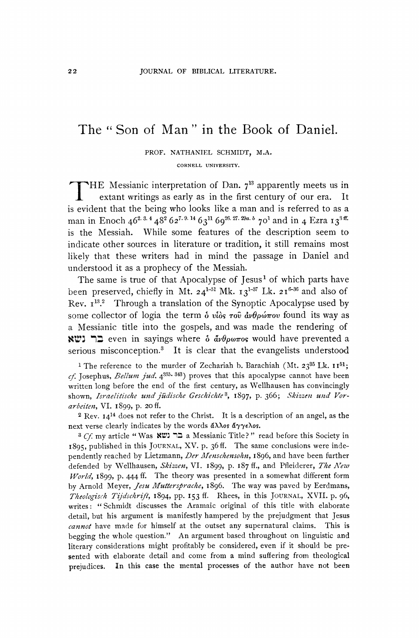## **The " Son of Man" in the Book of Daniel.**

**PROF. NATHANIEL SCHMIDT, M.A.** 

**CORNELL UNIVERSITY.** 

**THE Messianic interpretation of Dan. 713 apparently meets us in extant writings as early as in the first century of our era. It is evident that the being who looks like a man and is referred to as a**  man in Enoch  $46^{2.3.4}48^262^{7.9.14}63^{11}69^{26.27.29a. b}70^1$  and in 4 Ezra  $13^{3 \text{ ff}}$ . **is the Messiah. While some features of the description seem to indicate other sources in literature or tradition, it still remains most likely that these writers had in mind the passage in Daniel and understood it as a prophecy of the Messiah.** 

The same is true of that Apocalypse of Jesus<sup>1</sup> of which parts have been preserved, chiefly in Mt.  $24^{1-51}$  Mk.  $13^{1-37}$  Lk.  $21^{6-36}$  and also of **Rev. I13.2 Through a translation of the Synoptic Apocalypse used by some collector of logia the term δ υίδς του ανθρώπου found its way as a Messianic title into the gospels, and was made the rendering of NUI** even in sayings where **δ** *åνθρωποs* **would have prevented a serious misconception.3 It is clear that the evangelists understood** 

<sup>1</sup> The reference to the murder of Zechariah b. Barachiah (Mt.  $23^{35}$  Lk.  $11^{51}$ ; **cf. Josephus, Bellun jud. 4330- 343) proves that this apocalypse cannot have been written long before the end of the first century, as Wellhausen has convincingly**  shown, Israelitische und jüdische Geschichte<sup>3</sup>, 1897, p. 366; Skizzen und Vor**arbeiten, VI. I899, p. 20 ff.** 

**2 Rev. 1414 does not refer to the Christ. It is a description of an angel, as the**  next verse clearly indicates by the words  $d\lambda\lambda$ os  $d\gamma\gamma\epsilon\lambda$ os.

**3 Cf my article " Was tt: 'C"! a Messianic Title? " read before this Society in 1895, published in this JOURNAL, XV. p. 36 ff. The same conclusions were inde**pendently reached by Lietzmann, Der Menschensohn, 1896, and have been further **defended by Wellhausen, Skizzen, VI. I899, p. 187 ff., and Pfleiderer, The New World, I899, p. 444 ff. The theory was presented in a somewhat different form**  by Arnold Meyer, Jesu Muttersprache, 1896. The way was paved by Eerdmans, **Theologisch Tijdschrift, 1894, pp. 153 ff. Rhees, in this JOURNAL, XVII. p. 96, writes: "Schmidt discusses the Aramaic original of this title with elaborate detail, but his argument is manifestly hampered by the prejudgment that Jesus cannot have made for himself at the outset any supernatural claims. This is begging the whole question." An argument based throughout on linguistic and literary considerations might profitably be considered, even if it should be presented with elaborate detail and come from a mind suffering from theological prejudices. In this case the mental processes of the author have not been**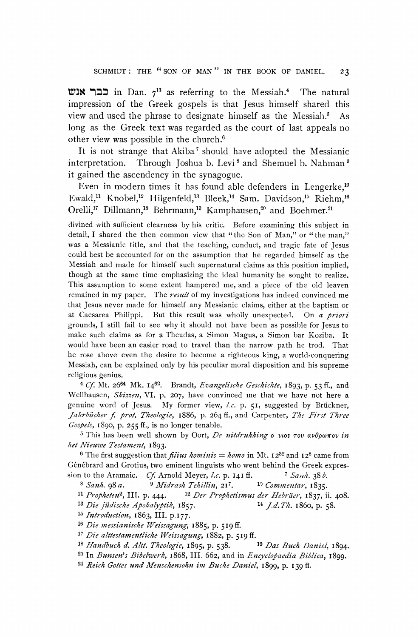**T3I '=1" in Dan. 713 as referring to the Messiah.4 The natural impression of the Greek gospels is that Jesus himself shared this view and used the phrase to designate himself as the Messiah.5 As long as the Greek text was regarded as the court of last appeals no other view was possible in the church.6** 

**It is not strange that Akiba7 should have adopted the Messianic interpretation.** Through Joshua b. Levi<sup>8</sup> and Shemuel b. Nahman<sup>9</sup> **it gained the ascendency in the synagogue.** 

Even in modern times it has found able defenders in Lengerke,<sup>10</sup> Ewald,<sup>11</sup> Knobel,<sup>12</sup> Hilgenfeld,<sup>13</sup> Bleek,<sup>14</sup> Sam. Davidson,<sup>15</sup> Riehm,<sup>16</sup> Orelli,<sup>17</sup> Dillmann,<sup>18</sup> Behrmann,<sup>19</sup> Kamphausen,<sup>20</sup> and Boehmer.<sup>21</sup>

**divined with sufficient clearness by his critic. Before examining this subject in detail, I shared the then common view that "the Son of Man," or "the man," was a Messianic title, and that the teaching, conduct, and tragic fate of Jesus could best be accounted for on the assumption that he regarded himself as the Messiah and made for himself such supernatural claims as this position implied, though at the same time emphasizing the ideal humanity he sought to realize. This assumption to some extent hampered me, and a piece of the old leaven**  remained in my paper. The result of my investigations has indeed convinced me **that Jesus never made for himself any Messianic claims, either at the baptism or at Caesarea Philippi. But this result was wholly unexpected. On a priori grounds, I still fail to see why it should not have been as possible for Jesus to make such claims as for a Theudas, a Simon Magus, a Simon bar Koziba. It would have been an easier road to travel than the narrow path he trod. That he rose above even the desire to become a righteous king, a world-conquering Messiah, can be explained only by his peculiar moral disposition and his supreme religious genius.** 

**4 Cf. Mt. 2664 Mk. I462. Brandt, Evangelische Geschichle, 1893, p. 53 ff., and Wellhausen, Skizzen, VI. p. 207, have convinced me that we have not here a genuine word of Jesus. My former view, I.c. p. 51, suggested by Brickner,**  Jahrbücher f. prot. Theologie, 1886, p. 264 ff., and Carpenter, The First Three **Gospels, 1890, p. 255 ff., is no longer tenable.** 

 $5$  This has been well shown by Oort, De uitdrukking o vios  $\tau$ ov  $\alpha\nu\theta\rho\omega\pi$ ov in **het Nieuwe Testament, 1893.** 

<sup>6</sup> The first suggestion that *fiius hominis = homo* in Mt.  $12^{32}$  and  $12^8$  came from Génébrard and Grotius, two eminent linguists who went behind the Greek expression to the Aramaic. *Cf.* Arnold Meyer, *l.c.* p. 141 ff. <sup>7</sup> Sanh, 38 b. **sion to the Aramaic.** Cf. Arnold Meyer, *l.c.* p. 141 ff. **7** Sanh. 38 b.<br><sup>8</sup> Sanh. 98 a. **9** Midrash Tehillin, 21<sup>7</sup>. <sup>19</sup> Commentar, 1835.

8 Sanh. 98 a. <sup>9</sup> Midrash Tehillin, 21<sup>7</sup>.<br><sup>11</sup> Propheten<sup>2</sup>, III. p. 444. <sup>12</sup> Der Prophet

**11 Propheten2, III. p. 444. <sup>12</sup>Der Prophetismus der Hebrder, 1837, ii. 408.** 

<sup>13</sup> Die jüdische Apokalyptik, 1857.

**15 Introduction, I863, III. p.I77.** 

**<sup>16</sup>Die messianische Weissagung, I885, p. 519 if.** 

**<sup>17</sup>Die alttestamentliche LWeissagung, 1882, p. 519 ff.** 

**18 Handbuch d. Altt. Theologie, 1895, p. 538. 19 Das Buch Daniel, I894.** 

**<sup>20</sup>In Bunsen's Bibelwerk, I868, III. 662, and in Encyclopaedia Biblica, I899.** 

**<sup>21</sup>Reich Gottes und Menschensohn im Buche Daniel, 1899, p. 139 ff.**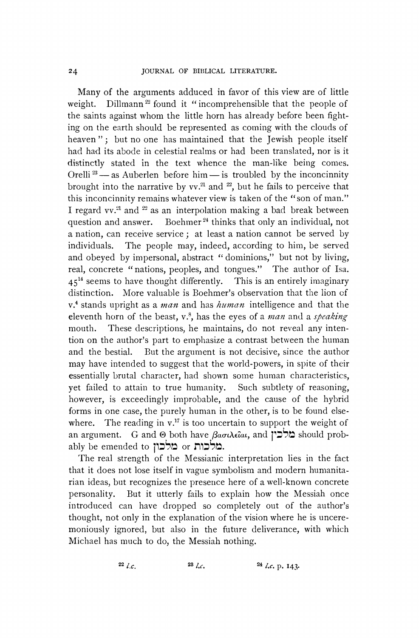**Many of the arguments adduced in favor of this view are of little weight.** Dillmann<sup>22</sup> found it "incomprehensible that the people of **Dillmann<sup>22</sup> found it "incomprehensible that the people of the saints against whom the little horn has already before been fighting on the earth should be represented as coming with the clouds of heaven"; but no one has maintained that the Jewish people itself had had its abode in celestial realms or had been translated, nor is it distinctly stated in the text whence the man-like being comes.**  Orelli<sup>23</sup> — as Auberlen before him — is troubled by the inconcinnity **brought into the narrative by vv.21 and 22, but he fails to perceive that this inconcinnity remains whatever view is taken of the "son of man." I regard vv.'2 and 22 as an interpolation making a bad break between**  question and answer. Boehmer<sup>24</sup> thinks that only an individual, not **a nation, can receive service; at least a nation cannot be served by individuals. The people may, indeed, according to him, be served and obeyed by impersonal, abstract " dominions," but not by living, real, concrete "nations, peoples, and tongues." The author of Isa. 4514 seems to have thought differently. This is an entirely imaginary distinction. More valuable is Boehmer's observation that the lion of v.4 stands upright as a man and has human intelligence and that the eleventh horn of the beast, v.8, has the eyes of a man and a speaking mouth. These descriptions, he maintains, do not reveal any intention on the author's part to emphasize a contrast between the human and the bestial. But the argument is not decisive, since the author may have intended to suggest that the world-powers, in spite of their essentially brutal character, had shown some human characteristics, yet failed to attain to true humanity. Such subtlety of reasoning, however, is exceedingly improbable, and the cause of the hybrid forms in one case, the purely human in the other, is to be found else**where. The reading in  $v<sup>17</sup>$  is too uncertain to support the weight of an argument. G and **@** both have βασιλεῖαι, and  $\alpha$  should probably be emended to **מלכות** or **מלכות**.

**The real strength of the Messianic interpretation lies in the fact that it does not lose itself in vague symbolism and modern humanitarian ideas, but recognizes the presence here of a well-known concrete personality. But it utterly fails to explain how the Messiah once introduced can have dropped so completely out of the author's thought, not only in the explanation of the vision where he is unceremoniously ignored, but also in the future deliverance, with which Michael has much to do, the Messiah nothing.** 

**22** *l.c.* **23** *l.c.* **23** *l.c.* **24** *l.c.* **p. 143.**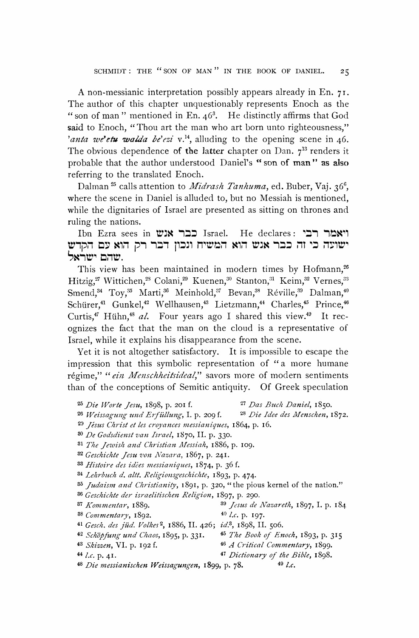**A non-messianic interpretation possibly appears already in En. 71. The author of this chapter unquestionably represents Enoch as the " son of man " mentioned in En. 463. He distinctly affirms that God said to Enoch, "Thou art the man who art born unto righteousness,"**  'anta we'etu walda be'ezi v.<sup>14</sup>, alluding to the opening scene in 46. The obvious dependence of the latter chapter on Dan.  $7^{13}$  renders it **probable that the author understood Daniel's " son of man" as also referring to the translated Enoch.** 

Dalman <sup>25</sup> calls attention to *Midrash Tanhuma*, ed. Buber, Vaj. 36<sup>6</sup>, **where the scene in Daniel is alluded to, but no Messiah is mentioned, while the dignitaries of Israel are presented as sitting on thrones and ruling the nations.** 

**Ibn Ezra sees in ויאמר רבי** Israel. He declares: ויאמר רבי ישועה כי זה כבר אנש הוא המשיח ונכון דבר רק הוא עם הקדש<br>שרום ישראל.

This view has been maintained in modern times by Hofmann,<sup>26</sup> **Hitzig,7 Wittichen,28 Colani,29 Kuenen,30 Stanton,31 Keim,32 Vernes,33**  Smend,<sup>34</sup> Toy,<sup>35</sup> Marti,<sup>36</sup> Meinhold,<sup>37</sup> Bevan,<sup>38</sup> Réville,<sup>39</sup> Dalman,<sup>40</sup> Schürer,<sup>41</sup> Gunkel,<sup>42</sup> Wellhausen,<sup>43</sup> Lietzmann,<sup>44</sup> Charles,<sup>45</sup> Prince,<sup>46</sup> Curtis,<sup>47</sup> Hühn,<sup>48</sup> al. Four years ago I shared this view.<sup>49</sup> It rec**ognizes the fact that the man on the cloud is a representative of Israel, while it explains his disappearance from the scene.** 

**Yet it is not altogether satisfactory. It is impossible to escape the impression that this symbolic representation of "a more humane**  régime," " ein Menschheitsideal," savors more of modern sentiments **than of the conceptions of Semitic antiquity. Of Greek speculation** 

- 
- **<sup>25</sup>Die Worte Jesu, I898, p. 201 f. 27 Das Bzuck Daniel, I850.**  26 Weissagung und Erfüllung, I. p. 209 f.
- **23 Jisus Chr'ist et les croyances messianiques, I864, p. i6.**
- **<sup>30</sup>De Godsdienst van Israel, I870, II. p. 330.**
- $31$  The Jewish and Christian Messiah, 1886, p. 109.
- **<sup>32</sup>Geschichte Jesu von Nazara, 1867, p. 241.**
- **<sup>33</sup>Histoire des idees messianiques, 1874, p. 36 f.**
- **<sup>34</sup>Iehrbuch d. altt. Religionsgeschichte, 1893, p. 474.**
- **35 Judaism and Christianit,, 1891, p. 320, "the pious kernel of the nation."**
- **<sup>36</sup>Geschichte der israelitischen Religion, 1897, p. 290.**
- 
- **<sup>37</sup>Iomzmentar, I889. <sup>39</sup>Jesus de Nazareth, 1897, I. p. 184**
- **<sup>38</sup>Commentary, 1892. 40 I.c. p. I97.**
- **<sup>41</sup>Gesch. des jiid. Volkes2, I886, II. 426; id.3, 1898, II. 506.**
- **<sup>42</sup>Schapfung und Chaos, 1895, p. 331. 45 The Book of Enoch, 1893, p. 315 <sup>43</sup>Skizzen, VI. p. I92 f. 46 A Critical Commentary, 1899.** 
	-
- **44 I.c. p. 41. 47 Dictionary of the Bible, I898.**   $48$  *Die messianischen Weissagungen*, 1899, p. 78.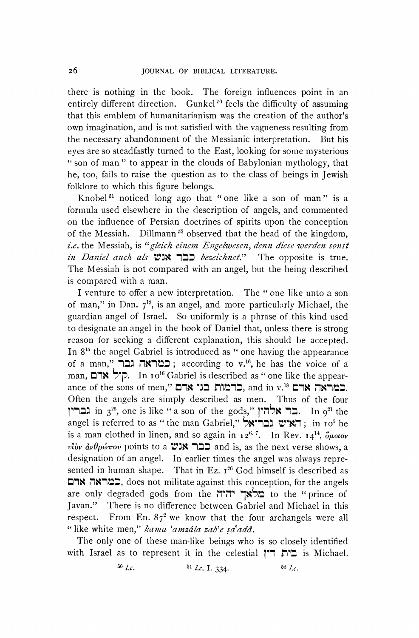**there is nothing in the book. The foreign influences point in an**  entirely different direction. Gunkel<sup>50</sup> feels the difficulty of assuming **that this emblem of humanitarianism was the creation of the author's own imagination, and is not satisfied with the vagueness resulting from the necessary abandonment of the Messianic interpretation. But his eyes are so steadfastly turned to the East, looking for some mysterious " son of man" to appear in the clouds of Babylonian mythology, that he, too, fails to raise the question as to the class of beings in Jewish folklore to which this figure belongs.** 

**Knobel51 noticed long ago that "one like a son of man" is a formula used elsewhere in the description of angels, and commented on the influence of Persian doctrines of spirits upon the conception**  of the Messiah. Dillmann<sup>52</sup> observed that the head of the kingdom, **i.e. the Messiah, is "gleich einem Engelwesen, denn diese werden sonst**  in Daniel auch als **WIN 122** bezeichnet." The opposite is true. **The Messiah is not compared with an angel, but the being described is compared with a man.** 

**I venture to offer a new interpretation. The " one like unto a son**  of man," in Dan. 7<sup>13</sup>, is an angel, and more particularly Michael, the **guardian angel of Israel. So uniformly is a phrase of this kind used to designate an angel in the book of Daniel that, unless there is strong reason for seeking a different explanation, this should be accepted. In 8'5 the angel Gabriel is introduced as " one having the appearance of a man," '\*1= ,KI:' ; according to v.16, he has the voice of a man, nK 1p. In io'6 Gabriel is described as " one like the appearance of the sons of men," בני אדם**, and in v.<sup>18</sup> **אדם Often the angels are simply described as men. Thus of the four 11**  $\frac{1}{3^{25}}$ **,** one is like " a son of the gods," בר $\frac{1}{3^{21}}$  **he** . In  $9^{21}$  the angel is referred to as " the man Gabriel," **בריאל**; in 10<sup>5</sup> he is a man clothed in linen, and so again in  $I2^{6.7}$ . In Rev.  $I4^{14}$ ,  $\delta \mu$ otov vtov  $\frac{\partial \phi}{\partial \phi}$  avθρώπου points to a **WIN ILE and is, as the next verse shows, a designation of an angel. In earlier times the angel was always repre**sented in human shape. That in Ez. 1<sup>26</sup> God himself is described as **=tR ,^7"1d3, does not militate against this conception, for the angels**  are only degraded gods from the "**הוה מלאך יהוה** to the "prince of **Javan." There is no difference between Gabriel and Michael in this**  respect. From En.  $87^2$  we know that the four archangels were all "like white men," kama 'amzâla zab'e şa<sup>t</sup>adâ.

**The only one of these man-like beings who is so closely identified with Israel as to represent it in the celestial 171 n:3 is Michael.** 

**60** *I.c.* **51** *I.c.* **I.** 334. **52** *I.c.*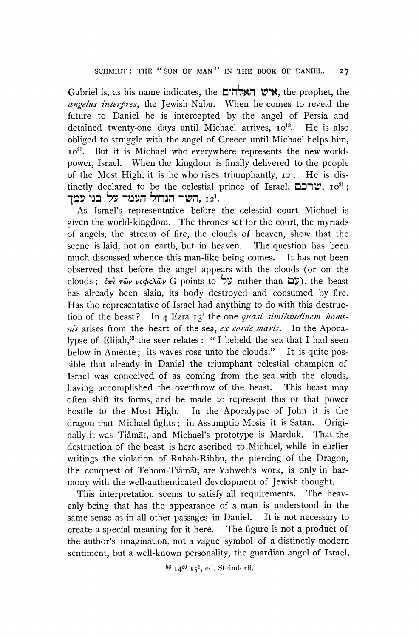Gabriel is, as his name indicates, the **K, ואלהים, the** prophet, the **angelus interpres, the Jewish Nabu. When he comes to reveal the future to Daniel he is intercepted by the angel of Persia and**  detained twenty-one days until Michael arrives, 10<sup>13</sup>. He is also **obliged to struggle with the angel of Greece until Michael helps him, io2l. But it is Michael who everywhere represents the new worldpower, Israel. When the kingdom is finally delivered to the people of the Most High, it is he who rises triumphantly, I21. He is distinctly declared to be the celestial prince of Israel,**  $\Box \Box \Box \Box \vee$ **,**  $\Box o^{21}$ **;** השר הגדול העמד על בני עמד. <u>12</u>1.

**As Israel's representative before the celestial court Michael is given the world-kingdom. The thrones set for the court, the myriads of angels, the stream of fire, the clouds of heaven, show that the scene is laid, not on earth, but in heaven. The question has been**  much discussed whence this man-like being comes. **observed that before the angel appears with the clouds (or on the**  clouds; *ἐπὶ τῶν νεφελῶν* G points to <sup>5</sup> τα της επειλείται Σ'), the beast **has already been slain, its body destroyed and consumed by fire. Has the representative of Israel had anything to do with this destruc**tion of the beast? In 4 Ezra 13<sup>1</sup> the one *quasi similitudinem hominis* arises from the heart of the sea, ex corde maris. In the Apoca**lypse of Elijah,53 the seer relates: "I beheld the sea that I had seen below in Amente; its waves rose unto the clouds." It is quite possible that already in Daniel the triumphant celestial champion of Israel was conceived of as coming from the sea with the clouds,**  having accomplished the overthrow of the beast. **often shift its forms, and be made to represent this or that power hostile to the Most High. In the Apocalypse of John it is the dragon that Michael fights; in Assumptio Mosis it is Satan. Originally it was Tiamat, and Michael's prototype is Marduk. That the destruction of the beast is here ascribed to Michael, while in earlier writings the violation of Rahab-Ribbu, the piercing of the Dragon, the conquest of Tehom-Tiamat, are Yahweh's work, is only in harmony with the well-authenticated development of Jewish thought.** 

**This interpretation seems to satisfy all requirements. The heavenly being that has the appearance of a man is understood in the same sense as in all other passages in Daniel. It is not necessary to create a special meaning for it here. The figure is not a product of the author's imagination, not a vague symbol of a distinctly modern sentiment, but a well-known personality, the guardian angel of Israel.** 

**53 1420 I51, ed. Steindorff.**